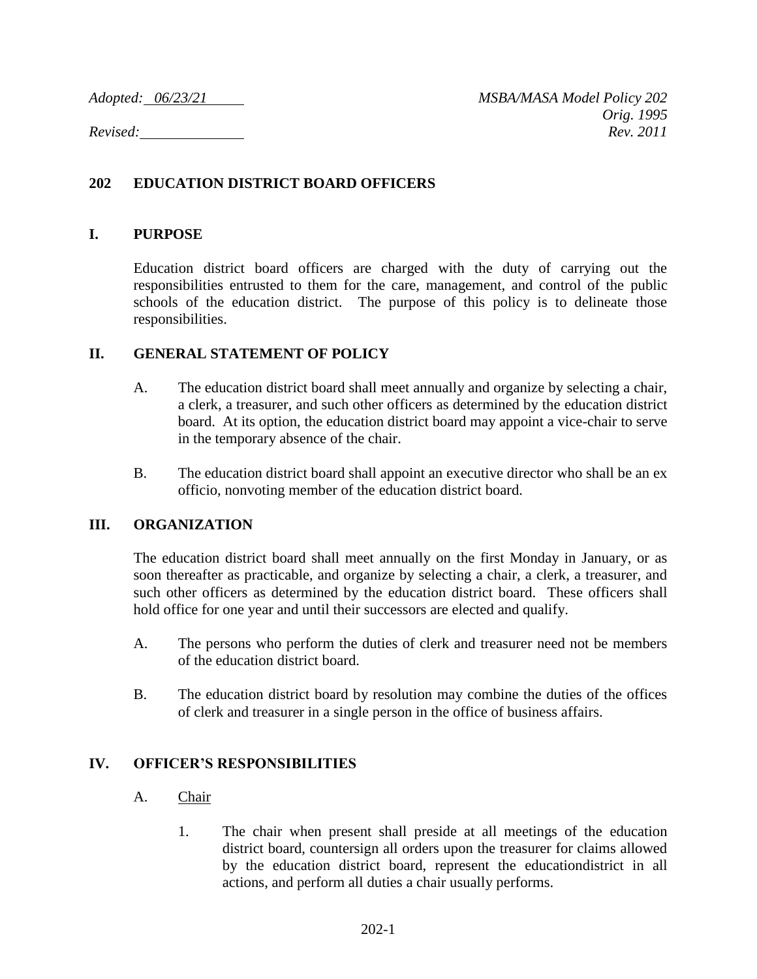## **202 EDUCATION DISTRICT BOARD OFFICERS**

#### **I. PURPOSE**

Education district board officers are charged with the duty of carrying out the responsibilities entrusted to them for the care, management, and control of the public schools of the education district. The purpose of this policy is to delineate those responsibilities.

#### **II. GENERAL STATEMENT OF POLICY**

- A. The education district board shall meet annually and organize by selecting a chair, a clerk, a treasurer, and such other officers as determined by the education district board. At its option, the education district board may appoint a vice-chair to serve in the temporary absence of the chair.
- B. The education district board shall appoint an executive director who shall be an ex officio, nonvoting member of the education district board.

## **III. ORGANIZATION**

The education district board shall meet annually on the first Monday in January, or as soon thereafter as practicable, and organize by selecting a chair, a clerk, a treasurer, and such other officers as determined by the education district board. These officers shall hold office for one year and until their successors are elected and qualify.

- A. The persons who perform the duties of clerk and treasurer need not be members of the education district board.
- B. The education district board by resolution may combine the duties of the offices of clerk and treasurer in a single person in the office of business affairs.

## **IV. OFFICER'S RESPONSIBILITIES**

#### A. Chair

1. The chair when present shall preside at all meetings of the education district board, countersign all orders upon the treasurer for claims allowed by the education district board, represent the educationdistrict in all actions, and perform all duties a chair usually performs.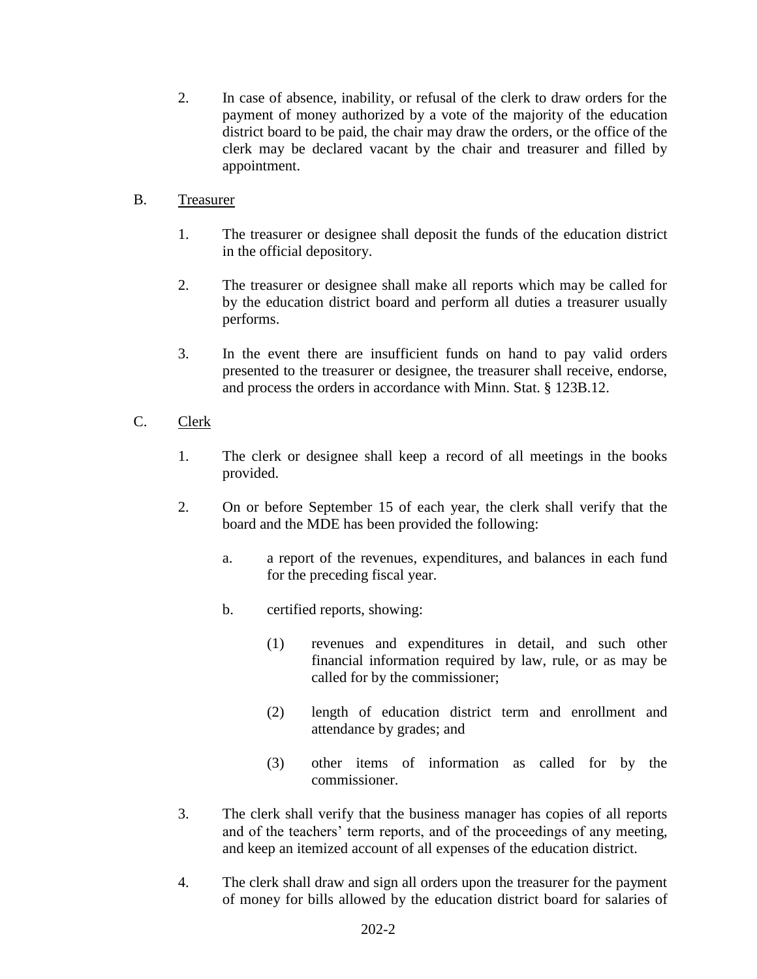2. In case of absence, inability, or refusal of the clerk to draw orders for the payment of money authorized by a vote of the majority of the education district board to be paid, the chair may draw the orders, or the office of the clerk may be declared vacant by the chair and treasurer and filled by appointment.

# B. Treasurer

- 1. The treasurer or designee shall deposit the funds of the education district in the official depository.
- 2. The treasurer or designee shall make all reports which may be called for by the education district board and perform all duties a treasurer usually performs.
- 3. In the event there are insufficient funds on hand to pay valid orders presented to the treasurer or designee, the treasurer shall receive, endorse, and process the orders in accordance with Minn. Stat. § 123B.12.

# C. Clerk

- 1. The clerk or designee shall keep a record of all meetings in the books provided.
- 2. On or before September 15 of each year, the clerk shall verify that the board and the MDE has been provided the following:
	- a. a report of the revenues, expenditures, and balances in each fund for the preceding fiscal year.
	- b. certified reports, showing:
		- (1) revenues and expenditures in detail, and such other financial information required by law, rule, or as may be called for by the commissioner;
		- (2) length of education district term and enrollment and attendance by grades; and
		- (3) other items of information as called for by the commissioner.
- 3. The clerk shall verify that the business manager has copies of all reports and of the teachers' term reports, and of the proceedings of any meeting, and keep an itemized account of all expenses of the education district.
- 4. The clerk shall draw and sign all orders upon the treasurer for the payment of money for bills allowed by the education district board for salaries of